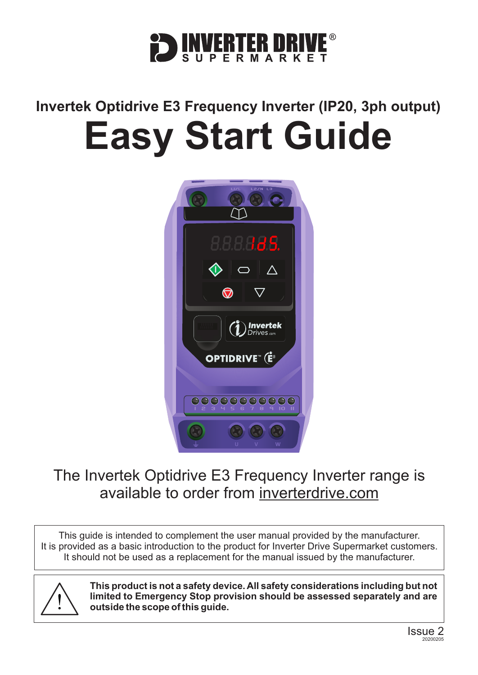

# **Invertek Optidrive E3 Frequency Inverter (IP20, 3ph output) Easy Start Guide**



# The Invertek Optidrive E3 Frequency Inverter range is available to order from [inverterdrive.com](https://inverterdrive.com/m/Invertek/Optidrive-E3/)

This guide is intended to complement the user manual provided by the manufacturer. It is provided as a basic introduction to the product for Inverter Drive Supermarket customers. It should not be used as a replacement for the manual issued by the manufacturer.



**This product is not a safety device. All safety considerations including but not limited to Emergency Stop provision should be assessed separately and are outside the scope of this guide.**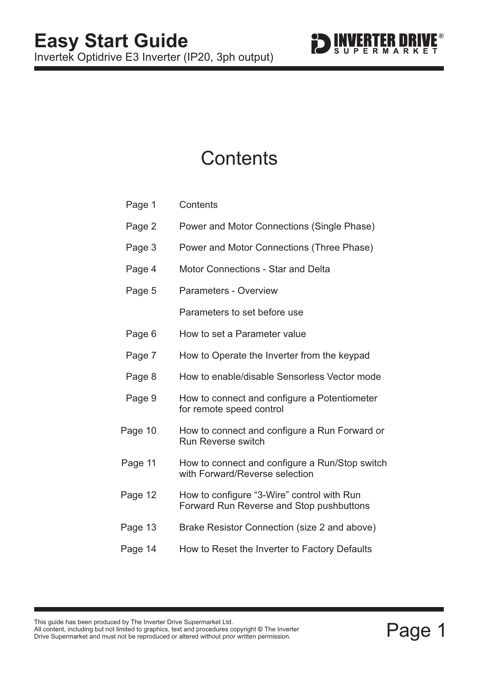

# **Contents**

| Page 1  | Contents                                                                               |
|---------|----------------------------------------------------------------------------------------|
| Page 2  | Power and Motor Connections (Single Phase)                                             |
| Page 3  | Power and Motor Connections (Three Phase)                                              |
| Page 4  | <b>Motor Connections - Star and Delta</b>                                              |
| Page 5  | <b>Parameters - Overview</b>                                                           |
|         | Parameters to set before use                                                           |
| Page 6  | How to set a Parameter value                                                           |
| Page 7  | How to Operate the Inverter from the keypad                                            |
| Page 8  | How to enable/disable Sensorless Vector mode                                           |
| Page 9  | How to connect and configure a Potentiometer<br>for remote speed control               |
| Page 10 | How to connect and configure a Run Forward or<br><b>Run Reverse switch</b>             |
| Page 11 | How to connect and configure a Run/Stop switch<br>with Forward/Reverse selection       |
| Page 12 | How to configure "3-Wire" control with Run<br>Forward Run Reverse and Stop pushbuttons |
| Page 13 | Brake Resistor Connection (size 2 and above)                                           |
| Page 14 | How to Reset the Inverter to Factory Defaults                                          |
|         |                                                                                        |

This guide has been produced by The Inverter Drive Supermarket Ltd.<br>All content, including but not limited to graphics, text and procedures copyright © The Inverter<br>Drive Supermarket and must not be reproduced or altered w All content, including but not limited to graphics, text and procedures copyright © The Inverter Drive Supermarket and must not be reproduced or altered without prior written permission. **©**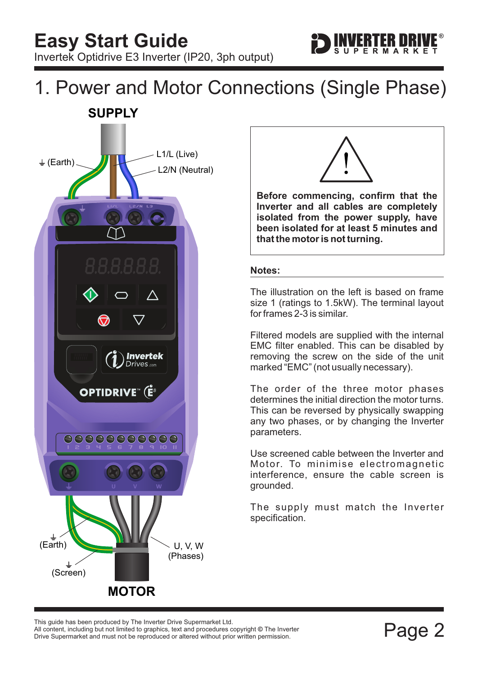

# <span id="page-2-0"></span>1. Power and Motor Connections (Single Phase) **SUPPLY**





**Before commencing, confirm that the Inverter and all cables are completely isolated from the power supply, have been isolated for at least 5 minutes and that the motor is not turning.**

#### **Notes:**

The illustration on the left is based on frame size 1 (ratings to 1.5kW). The terminal layout for frames 2-3 is similar.

Filtered models are supplied with the internal EMC filter enabled. This can be disabled by removing the screw on the side of the unit marked "EMC" (not usually necessary).

The order of the three motor phases determines the initial direction the motor turns. This can be reversed by physically swapping any two phases, or by changing the Inverter parameters.

Use screened cable between the Inverter and Motor. To minimise electromagnetic interference, ensure the cable screen is grounded.

The supply must match the Inverter specification.

Filis guide rias been produced by The filverter Drive Supermarket Etd.<br>All content, including but not limited to graphics, text and procedures copyright © The Inverter<br>Drive Supermarket and must not be reproduced or altere Drive Supermarket and must not be reproduced or altered without prior written permission. This guide has been produced by The Inverter Drive Supermarket Ltd.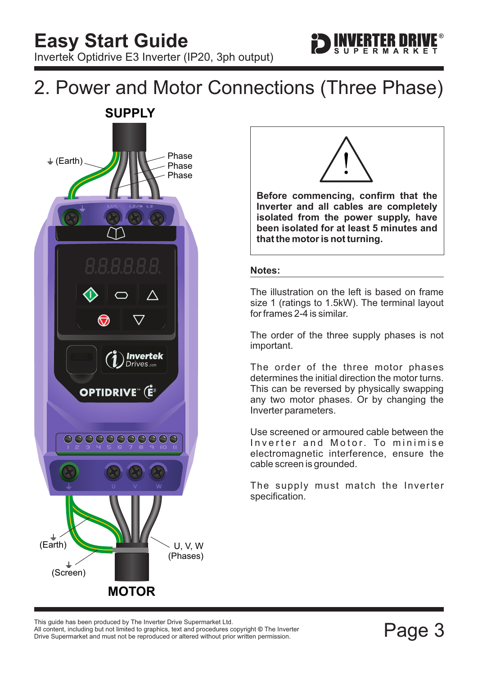

# <span id="page-3-0"></span>2. Power and Motor Connections (Three Phase)





**Before commencing, confirm that the Inverter and all cables are completely isolated from the power supply, have been isolated for at least 5 minutes and that the motor is not turning.**

#### **Notes:**

The illustration on the left is based on frame size 1 (ratings to 1.5kW). The terminal layout for frames 2-4 is similar.

The order of the three supply phases is not important.

The order of the three motor phases determines the initial direction the motor turns. This can be reversed by physically swapping any two motor phases. Or by changing the Inverter parameters.

Use screened or armoured cable between the Inverter and Motor. To minimise electromagnetic interference, ensure the cable screen is grounded.

The supply must match the Inverter specification.

This guide has been produced by The Inverter Drive Supermarket Ltd.<br>All content, including but not limited to graphics, text and procedures copyright © The Inverter<br>Drive Supermarket and must not be reproduced or altered w All content, including but not limited to graphics, text and procedures copyright © The Inverter Drive Supermarket and must not be reproduced or altered without prior written permission.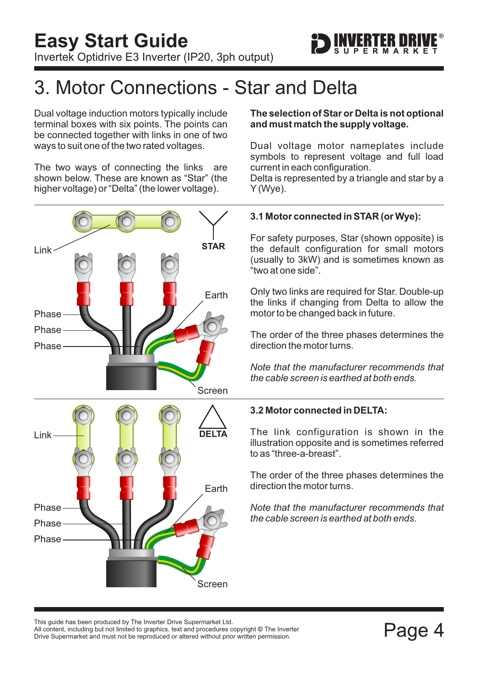

# <span id="page-4-0"></span>3. Motor Connections - Star and Delta

Dual voltage induction motors typically include terminal boxes with six points. The points can be connected together with links in one of two ways to suit one of the two rated voltages.

The two ways of connecting the links are shown below. These are known as "Star" (the higher voltage) or "Delta" (the lower voltage).



#### **The selection of Star or Delta is not optional and must match the supply voltage.**

Dual voltage motor nameplates include symbols to represent voltage and full load current in each configuration.

Delta is represented by a triangle and star by a Y (Wye).

## **3.1 Motor connected in STAR (or Wye):**

For safety purposes, Star (shown opposite) is the default configuration for small motors (usually to 3kW) and is sometimes known as "two at one side".

Only two links are required for Star. Double-up the links if changing from Delta to allow the motor to be changed back in future.

The order of the three phases determines the direction the motor turns.

*Note that the manufacturer recommends that the cable screen is earthed at both ends.*

### **3.2 Motor connected in DELTA:**

The link configuration is shown in the illustration opposite and is sometimes referred to as "three-a-breast".

The order of the three phases determines the direction the motor turns.

*Note that the manufacturer recommends that the cable screen is earthed at both ends.*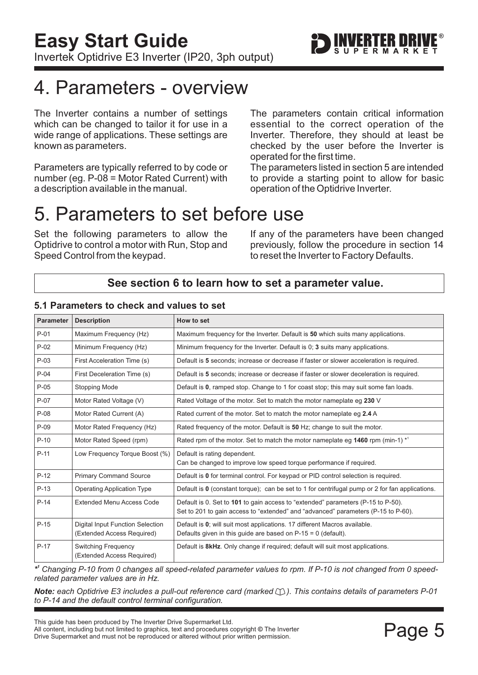

# <span id="page-5-0"></span>4. Parameters - overview

The Inverter contains a number of settings which can be changed to tailor it for use in a wide range of applications. These settings are known as parameters.

Parameters are typically referred to by code or number (eg. P-08 = Motor Rated Current) with a description available in the manual.

The parameters contain critical information essential to the correct operation of the Inverter. Therefore, they should at least be checked by the user before the Inverter is operated for the first time.

The parameters listed in section 5 are intended to provide a starting point to allow for basic operation of the Optidrive Inverter.

# 5. Parameters to set before use

Set the following parameters to allow the Optidrive to control a motor with Run, Stop and Speed Control from the keypad.

If any of the parameters have been changed previously, follow the procedure in [section 14](#page-14-0) to reset the Inverter to Factory Defaults.

# **See [section 6](#page-6-0) to learn how to set a parameter value.**

| <b>Parameter</b> | <b>Description</b>                                             | How to set                                                                                                                                                            |
|------------------|----------------------------------------------------------------|-----------------------------------------------------------------------------------------------------------------------------------------------------------------------|
| $P-01$           | Maximum Frequency (Hz)                                         | Maximum frequency for the Inverter. Default is 50 which suits many applications.                                                                                      |
| $P-02$           | Minimum Frequency (Hz)                                         | Minimum frequency for the Inverter. Default is 0; 3 suits many applications.                                                                                          |
| $P-03$           | First Acceleration Time (s)                                    | Default is 5 seconds; increase or decrease if faster or slower acceleration is required.                                                                              |
| $P-04$           | First Deceleration Time (s)                                    | Default is 5 seconds; increase or decrease if faster or slower deceleration is required.                                                                              |
| $P-05$           | Stopping Mode                                                  | Default is 0, ramped stop. Change to 1 for coast stop; this may suit some fan loads.                                                                                  |
| $P-07$           | Motor Rated Voltage (V)                                        | Rated Voltage of the motor. Set to match the motor nameplate eg 230 V                                                                                                 |
| $P-08$           | Motor Rated Current (A)                                        | Rated current of the motor. Set to match the motor nameplate eg 2.4 A                                                                                                 |
| $P-09$           | Motor Rated Frequency (Hz)                                     | Rated frequency of the motor. Default is 50 Hz; change to suit the motor.                                                                                             |
| $P-10$           | Motor Rated Speed (rpm)                                        | Rated rpm of the motor. Set to match the motor nameplate eg 1460 rpm (min-1) <sup>*1</sup>                                                                            |
| $P-11$           | Low Frequency Torque Boost (%)                                 | Default is rating dependent.<br>Can be changed to improve low speed torque performance if required.                                                                   |
| $P-12$           | <b>Primary Command Source</b>                                  | Default is 0 for terminal control. For keypad or PID control selection is required.                                                                                   |
| $P-13$           | <b>Operating Application Type</b>                              | Default is $\mathbf 0$ (constant torque); can be set to 1 for centrifugal pump or 2 for fan applications.                                                             |
| $P-14$           | <b>Extended Menu Access Code</b>                               | Default is 0. Set to 101 to gain access to "extended" parameters (P-15 to P-50).<br>Set to 201 to gain access to "extended" and "advanced" parameters (P-15 to P-60). |
| $P-15$           | Digital Input Function Selection<br>(Extended Access Required) | Default is 0; will suit most applications. 17 different Macros available.<br>Defaults given in this guide are based on $P-15 = 0$ (default).                          |
| $P-17$           | <b>Switching Frequency</b><br>(Extended Access Required)       | Default is 8kHz. Only change if required; default will suit most applications.                                                                                        |

### **5.1 Parameters to check and values to set**

*\* <sup>1</sup> Changing P-10 from 0 changes all speed-related parameter values to rpm. If P-10 is not changed from 0 speedrelated parameter values are in Hz.*

*Note:* each Optidrive E3 includes a pull-out reference card (marked  $\Box$ ). This contains details of parameters P-01 *to P-14 and the default control terminal configuration.*

This guide has been produced by The Inverter Drive Supermarket Ltd.<br>All content, including but not limited to graphics, text and procedures copyright © The Inverter<br>Drive Supermarket and must not be reproduced or altered w All content, including but not limited to graphics, text and procedures copyright © The Inverter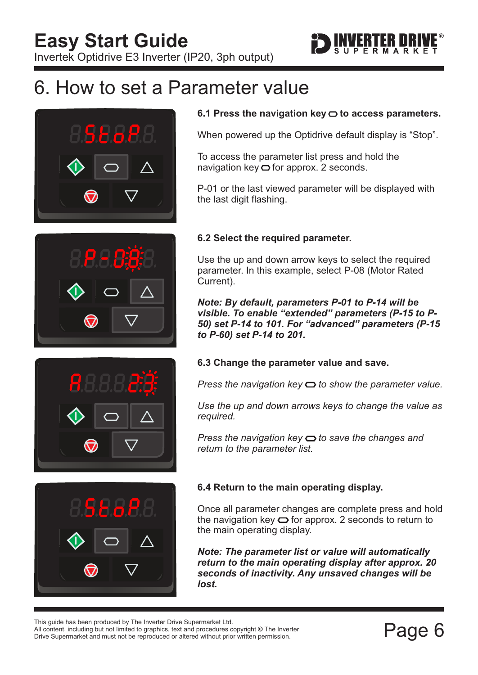

# <span id="page-6-0"></span>6. How to set a Parameter value









To access the parameter list press and hold the navigation key  $\bigcirc$  for approx. 2 seconds.

P-01 or the last viewed parameter will be displayed with the last digit flashing.

### **6.2 Select the required parameter.**

Use the up and down arrow keys to select the required parameter. In this example, select P-08 (Motor Rated Current).

*Note: By default, parameters P-01 to P-14 will be visible. To enable "extended" parameters (P-15 to P-50) set P-14 to 101. For "advanced" parameters (P-15 to P-60) set P-14 to 201.*

### **6.3 Change the parameter value and save.**

*Press the navigation key*  $\Rightarrow$  to show the parameter value.

*Use the up and down arrows keys to change the value as required.*

*Press the navigation key*  $\bigcirc$  to save the changes and *return to the parameter list.*



# **6.4 Return to the main operating display.**

Once all parameter changes are complete press and hold the navigation key  $\bigcirc$  for approx. 2 seconds to return to the main operating display.

*Note: The parameter list or value will automatically return to the main operating display after approx. 20 seconds of inactivity. Any unsaved changes will be lost.*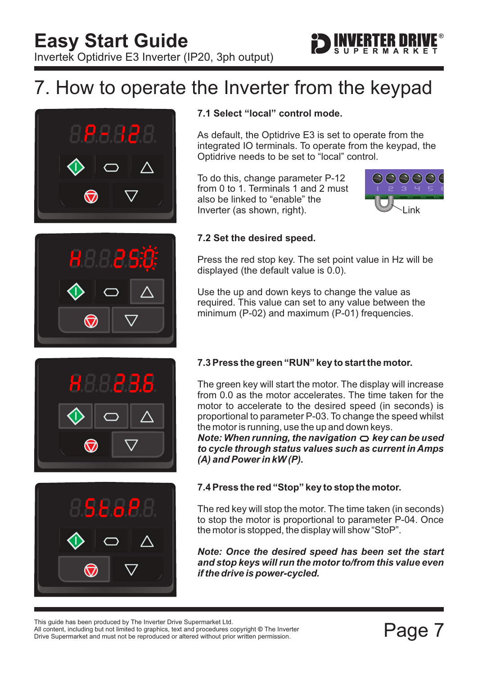

# <span id="page-7-0"></span>7. How to operate the Inverter from the keypad





# **7.1 Select "local" control mode.**

As default, the Optidrive E3 is set to operate from the integrated IO terminals. To operate from the keypad, the Optidrive needs to be set to "local" control.

To do this, change parameter P-12 from 0 to 1. Terminals 1 and 2 must also be linked to "enable" the Inverter (as shown, right).



### **7.2 Set the desired speed.**

Press the red stop key. The set point value in Hz will be displayed (the default value is 0.0).

Use the up and down keys to change the value as required. This value can set to any value between the minimum (P-02) and maximum (P-01) frequencies.



# **7.3 Press the green "RUN" key to start the motor.**

The green key will start the motor. The display will increase from 0.0 as the motor accelerates. The time taken for the motor to accelerate to the desired speed (in seconds) is proportional to parameter P-03. To change the speed whilst the motor is running, use the up and down keys.

*Note: When running, the navigation*  $\bigcirc$  *key can be used to cycle through status values such as current in Amps (A) and Power in kW (P).*



### **7.4 Press the red "Stop" key to stop the motor.**

The red key will stop the motor. The time taken (in seconds) to stop the motor is proportional to parameter P-04. Once the motor is stopped, the display will show "StoP".

*Note: Once the desired speed has been set the start and stop keys will run the motor to/from this value even if the drive is power-cycled.*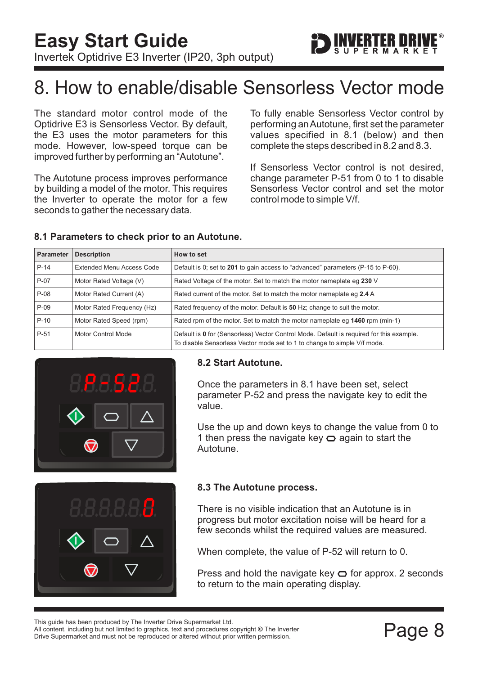

# <span id="page-8-0"></span>8. How to enable/disable Sensorless Vector mode

The standard motor control mode of the Optidrive E3 is Sensorless Vector. By default, the E3 uses the motor parameters for this mode. However, low-speed torque can be improved further by performing an "Autotune".

The Autotune process improves performance by building a model of the motor. This requires the Inverter to operate the motor for a few seconds to gather the necessary data.

To fully enable Sensorless Vector control by performing anAutotune, first set the parameter values specified in 8.1 (below) and then complete the steps described in 8.2 and 8.3.

If Sensorless Vector control is not desired, change parameter P-51 from 0 to 1 to disable Sensorless Vector control and set the motor control mode to simple V/f.

| <b>Parameter</b> | <b>Description</b>               | How to set                                                                                                                                                           |
|------------------|----------------------------------|----------------------------------------------------------------------------------------------------------------------------------------------------------------------|
| $P-14$           | <b>Extended Menu Access Code</b> | Default is 0; set to 201 to gain access to "advanced" parameters (P-15 to P-60).                                                                                     |
| $P-07$           | Motor Rated Voltage (V)          | Rated Voltage of the motor. Set to match the motor nameplate eg 230 V                                                                                                |
| P-08             | Motor Rated Current (A)          | Rated current of the motor. Set to match the motor nameplate eq 2.4 A                                                                                                |
| $P-09$           | Motor Rated Frequency (Hz)       | Rated frequency of the motor. Default is 50 Hz; change to suit the motor.                                                                                            |
| $P-10$           | Motor Rated Speed (rpm)          | Rated rpm of the motor. Set to match the motor nameplate eq 1460 rpm (min-1)                                                                                         |
| P-51             | Motor Control Mode               | Default is 0 for (Sensorless) Vector Control Mode. Default is required for this example.<br>To disable Sensorless Vector mode set to 1 to change to simple V/f mode. |

#### **8.1 Parameters to check prior to an Autotune.**



### **8.2 Start Autotune.**

Once the parameters in 8.1 have been set, select parameter P-52 and press the navigate key to edit the value.

Use the up and down keys to change the value from 0 to 1 then press the navigate key  $\bigcirc$  again to start the Autotune.



### **8.3 The Autotune process.**

There is no visible indication that an Autotune is in progress but motor excitation noise will be heard for a few seconds whilst the required values are measured.

When complete, the value of P-52 will return to 0.

Press and hold the navigate key  $\bigcirc$  for approx. 2 seconds to return to the main operating display.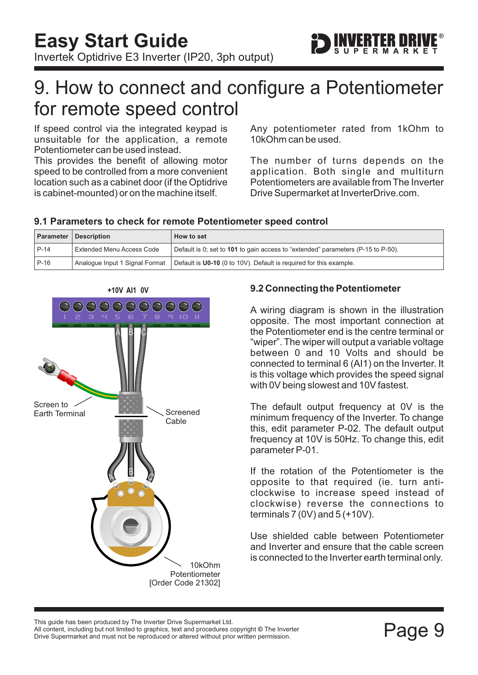

# <span id="page-9-0"></span>9. How to connect and configure a Potentiometer for remote speed control

If speed control via the integrated keypad is unsuitable for the application, a remote Potentiometer can be used instead.

This provides the benefit of allowing motor speed to be controlled from a more convenient location such as a cabinet door (if the Optidrive is cabinet-mounted) or on the machine itself.

Any potentiometer rated from 1kOhm to 10kOhm can be used.

The number of turns depends on the application. Both single and multiturn Potentiometers are available from The Inverter Drive Supermarket at InverterDrive.com.

# **9.1 Parameters to check for remote Potentiometer speed control**

|        | <b>Parameter Description</b>   | How to set                                                                       |
|--------|--------------------------------|----------------------------------------------------------------------------------|
| $P-14$ | Extended Menu Access Code      | Default is 0; set to 101 to gain access to "extended" parameters (P-15 to P-50). |
| $P-16$ | Analogue Input 1 Signal Format | Default is U0-10 (0 to 10V). Default is required for this example.               |



# **9.2 Connecting the Potentiometer**

A wiring diagram is shown in the illustration opposite. The most important connection at the Potentiometer end is the centre terminal or "wiper". The wiper will output a variable voltage between 0 and 10 Volts and should be connected to terminal 6 (AI1) on the Inverter. It is this voltage which provides the speed signal with 0V being slowest and 10V fastest.

The default output frequency at 0V is the minimum frequency of the Inverter. To change this, edit parameter P-02. The default output frequency at 10V is 50Hz. To change this, edit parameter P-01.

If the rotation of the Potentiometer is the opposite to that required (ie. turn anticlockwise to increase speed instead of clockwise) reverse the connections to terminals  $7(0V)$  and  $5(+10V)$ .

Use shielded cable between Potentiometer and Inverter and ensure that the cable screen is connected to the Inverter earth terminal only.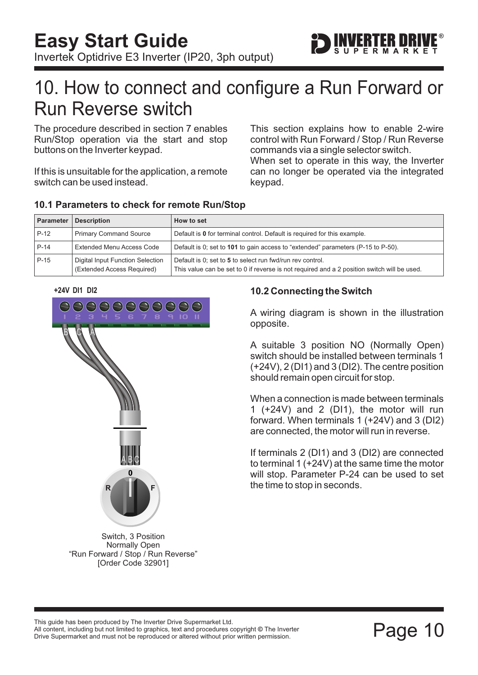

# <span id="page-10-0"></span>10. How to connect and configure a Run Forward or Run Reverse switch

The procedure described in [section 7](#page-7-0) enables Run/Stop operation via the start and stop buttons on the Inverter keypad.

If this is unsuitable for the application, a remote switch can be used instead.

This section explains how to enable 2-wire control with Run Forward / Stop / Run Reverse commands via a single selector switch.

When set to operate in this way, the Inverter can no longer be operated via the integrated keypad.

| Parameter | <b>Description</b>                                             | How to set                                                                                                                                               |
|-----------|----------------------------------------------------------------|----------------------------------------------------------------------------------------------------------------------------------------------------------|
| $P-12$    | <b>Primary Command Source</b>                                  | Default is 0 for terminal control. Default is required for this example.                                                                                 |
| P-14      | <b>Extended Menu Access Code</b>                               | Default is 0; set to 101 to gain access to "extended" parameters (P-15 to P-50).                                                                         |
| P-15      | Digital Input Function Selection<br>(Extended Access Required) | Default is 0; set to 5 to select run fwd/run rev control.<br>This value can be set to 0 if reverse is not required and a 2 position switch will be used. |

### **10.1 Parameters to check for remote Run/Stop**

#### **+24V DI1 DI2**



Switch, 3 Position Normally Open "Run Forward / Stop / Run Reverse" [Order Code 32901]

### **10.2 Connecting the Switch**

A wiring diagram is shown in the illustration opposite.

A suitable 3 position NO (Normally Open) switch should be installed between terminals 1 (+24V), 2 (DI1) and 3 (DI2). The centre position should remain open circuit for stop.

When a connection is made between terminals 1 (+24V) and 2 (DI1), the motor will run forward. When terminals 1 (+24V) and 3 (DI2) are connected, the motor will run in reverse.

If terminals 2 (DI1) and 3 (DI2) are connected to terminal 1 (+24V) at the same time the motor will stop. Parameter P-24 can be used to set the time to stop in seconds.

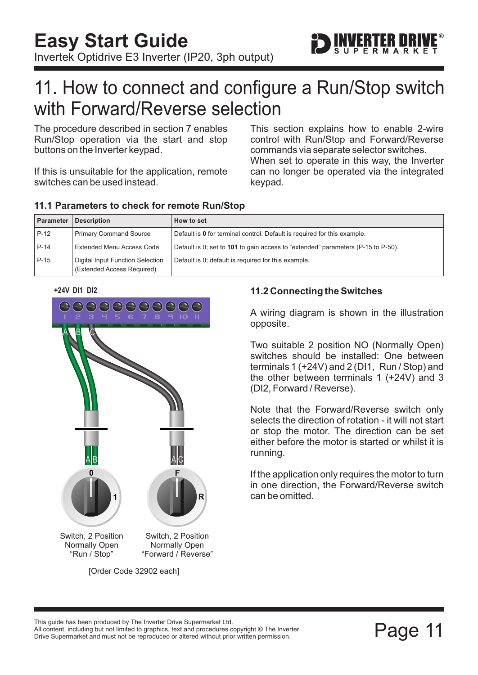

# <span id="page-11-0"></span>11. How to connect and configure a Run/Stop switch with Forward/Reverse selection

The procedure described in [section 7](#page-7-0) enables Run/Stop operation via the start and stop buttons on the Inverter keypad.

If this is unsuitable for the application, remote switches can be used instead.

When set to operate in this way, the Inverter can no longer be operated via the integrated keypad. This section explains how to enable 2-wire control with Run/Stop and Forward/Reverse commands via separate selector switches.

| Parameter | <b>Description</b>                                             | How to set                                                                       |
|-----------|----------------------------------------------------------------|----------------------------------------------------------------------------------|
| $P-12$    | <b>Primary Command Source</b>                                  | Default is 0 for terminal control. Default is required for this example.         |
| $P-14$    | <b>Extended Menu Access Code</b>                               | Default is 0; set to 101 to gain access to "extended" parameters (P-15 to P-50). |
| $P-15$    | Digital Input Function Selection<br>(Extended Access Required) | Default is 0; default is required for this example.                              |

### **11.1 Parameters to check for remote Run/Stop**





## **11.2 Connecting the Switches**

A wiring diagram is shown in the illustration opposite.

Two suitable 2 position NO (Normally Open) switches should be installed: One between terminals 1 (+24V) and 2 (DI1, Run / Stop) and the other between terminals 1 (+24V) and 3 (DI2, Forward / Reverse).

Note that the Forward/Reverse switch only selects the direction of rotation - it will not start or stop the motor. The direction can be set either before the motor is started or whilst it is running.

If the application only requires the motor to turn in one direction, the Forward/Reverse switch can be omitted.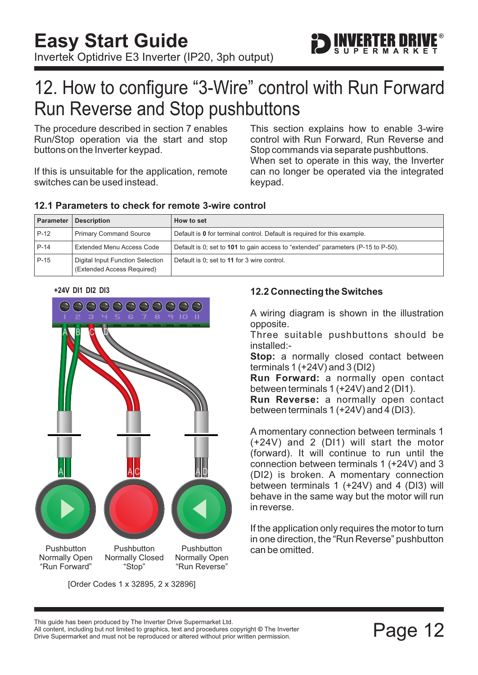

# <span id="page-12-0"></span>12. How to configure "3-Wire" control with Run Forward Run Reverse and Stop pushbuttons

The procedure described in [section 7](#page-7-0) enables Run/Stop operation via the start and stop buttons on the Inverter keypad.

If this is unsuitable for the application, remote switches can be used instead.

This section explains how to enable 3-wire control with Run Forward, Run Reverse and Stop commands via separate pushbuttons. When set to operate in this way, the Inverter can no longer be operated via the integrated keypad.

| <b>Parameter</b> | <b>Description</b>                                             | How to set                                                                       |
|------------------|----------------------------------------------------------------|----------------------------------------------------------------------------------|
| $P-12$           | <b>Primary Command Source</b>                                  | Default is 0 for terminal control. Default is required for this example.         |
| $P-14$           | Extended Menu Access Code                                      | Default is 0; set to 101 to gain access to "extended" parameters (P-15 to P-50). |
| $P-15$           | Digital Input Function Selection<br>(Extended Access Required) | Default is 0; set to 11 for 3 wire control.                                      |

### **12.1 Parameters to check for remote 3-wire control**





[Order Codes 1 x 32895, 2 x 32896]

### **12.2 Connecting the Switches**

A wiring diagram is shown in the illustration opposite.

Three suitable pushbuttons should be installed:-

**Stop:** a normally closed contact between terminals 1 (+24V) and 3 (DI2)

**Run Forward:** a normally open contact between terminals 1 (+24V) and 2 (DI1).

**Run Reverse:** a normally open contact between terminals 1 (+24V) and 4 (DI3).

A momentary connection between terminals 1 (+24V) and 2 (DI1) will start the motor (forward). It will continue to run until the connection between terminals 1 (+24V) and 3 (DI2) is broken. A momentary connection between terminals 1 (+24V) and 4 (DI3) will behave in the same way but the motor will run in reverse.

If the application only requires the motor to turn in one direction, the "Run Reverse" pushbutton can be omitted.

This guide has been produced by The Inverter Drive Supermarket Ltd.

Page 12 All content, including but not limited to graphics, text and procedures copyright © The Inverter<br>Drive Supermarket and must not be reproduced or altered without prior written permission. All content, including but not limited to graphics, text and procedures copyright © The Inverter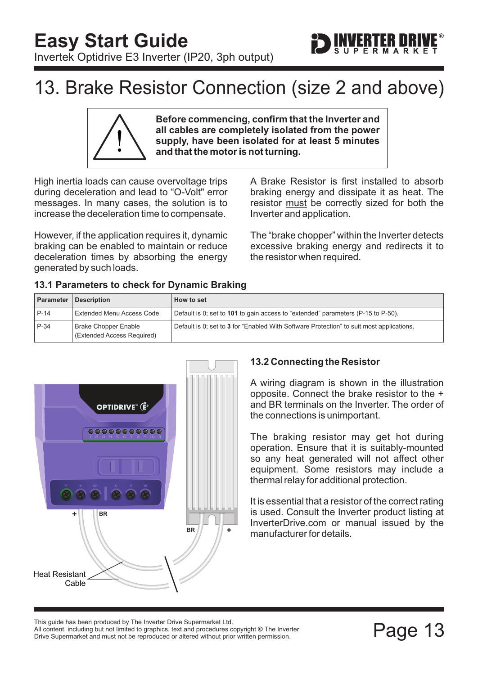

# <span id="page-13-0"></span>13. Brake Resistor Connection (size 2 and above)

**Before commencing, confirm that the Inverter and all cables are completely isolated from the power supply, have been isolated for at least 5 minutes and that the motor is not turning.**

High inertia loads can cause overvoltage trips during deceleration and lead to "O-Volt" error messages. In many cases, the solution is to increase the deceleration time to compensate.

However, if the application requires it, dynamic braking can be enabled to maintain or reduce deceleration times by absorbing the energy generated by such loads.

A Brake Resistor is first installed to absorb braking energy and dissipate it as heat. The resistor must be correctly sized for both the Inverter and application.

The "brake chopper" within the Inverter detects excessive braking energy and redirects it to the resistor when required.

| 13.1 Parameters to check for Dynamic Braking |  |
|----------------------------------------------|--|
|                                              |  |

|        | <b>Parameter   Description</b>                            | How to set                                                                               |
|--------|-----------------------------------------------------------|------------------------------------------------------------------------------------------|
| $P-14$ | Extended Menu Access Code                                 | Default is 0; set to 101 to gain access to "extended" parameters (P-15 to P-50).         |
| $P-34$ | <b>Brake Chopper Enable</b><br>(Extended Access Required) | Default is 0; set to 3 for "Enabled With Software Protection" to suit most applications. |



# **13.2 Connecting the Resistor**

A wiring diagram is shown in the illustration opposite. Connect the brake resistor to the + and BR terminals on the Inverter. The order of the connections is unimportant.

The braking resistor may get hot during operation. Ensure that it is suitably-mounted so any heat generated will not affect other equipment. Some resistors may include a thermal relay for additional protection.

It is essential that a resistor of the correct rating is used. Consult the Inverter product listing at InverterDrive.com or manual issued by the manufacturer for details.

Filis guide rias been produced by The filverter Drive Supermarket Eta.<br>All content, including but not limited to graphics, text and procedures copyright © The Inverter<br>Drive Supermarket and must not be reproduced or altere Drive Supermarket and must not be reproduced or altered without prior written permission. This guide has been produced by The Inverter Drive Supermarket Ltd.